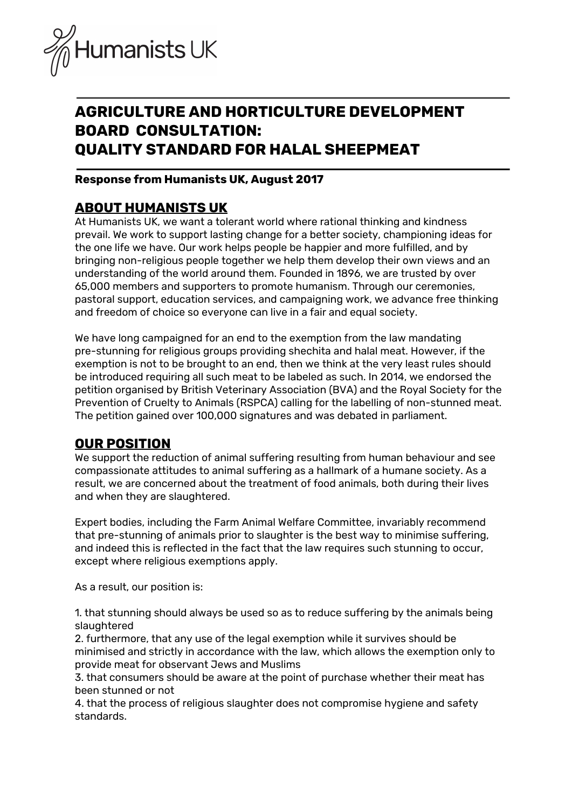

# **AGRICULTURE AND HORTICULTURE DEVELOPMENT BOARD CONSULTATION: QUALITY STANDARD FOR HALAL SHEEPMEAT**

## **Response from Humanists UK, August 2017**

## **ABOUT HUMANISTS UK**

At Humanists UK, we want a tolerant world where rational thinking and kindness prevail. We work to support lasting change for a better society, championing ideas for the one life we have. Our work helps people be happier and more fulfilled, and by bringing non-religious people together we help them develop their own views and an understanding of the world around them. Founded in 1896, we are trusted by over 65,000 members and supporters to promote humanism. Through our [ceremonies,](http://humanism.org.uk/ceremonies) [pastoral](https://humanism.org.uk/community/humanist-pastoral-support/) support, [education](http://humanism.org.uk/education) services, and [campaigning](http://humanism.org.uk/campaigns) work, we advance free thinking and freedom of choice so everyone can live in a fair and equal society.

We have long campaigned for an end to the exemption from the law mandating pre-stunning for religious groups providing shechita and halal meat. However, if the exemption is not to be brought to an end, then we think at the very least rules should be introduced requiring all such meat to be labeled as such. In 2014, we endorsed the petition organised by British Veterinary Association (BVA) and the Royal Society for the Prevention of Cruelty to Animals (RSPCA) calling for the labelling of non-stunned meat. The petition gained over 100,000 signatures and was debated in parliament.

## **OUR POSITION**

We support the reduction of animal suffering resulting from human behaviour and see compassionate attitudes to animal suffering as a hallmark of a humane society. As a result, we are concerned about the treatment of food animals, both during their lives and when they are slaughtered.

Expert bodies, including the Farm Animal Welfare Committee, invariably recommend that pre-stunning of animals prior to slaughter is the best way to minimise suffering, and indeed this is reflected in the fact that the law requires such stunning to occur, except where religious exemptions apply.

As a result, our position is:

1. that stunning should always be used so as to reduce suffering by the animals being slaughtered

2. furthermore, that any use of the legal exemption while it survives should be minimised and strictly in accordance with the law, which allows the exemption only to provide meat for observant Jews and Muslims

3. that consumers should be aware at the point of purchase whether their meat has been stunned or not

4. that the process of religious slaughter does not compromise hygiene and safety standards.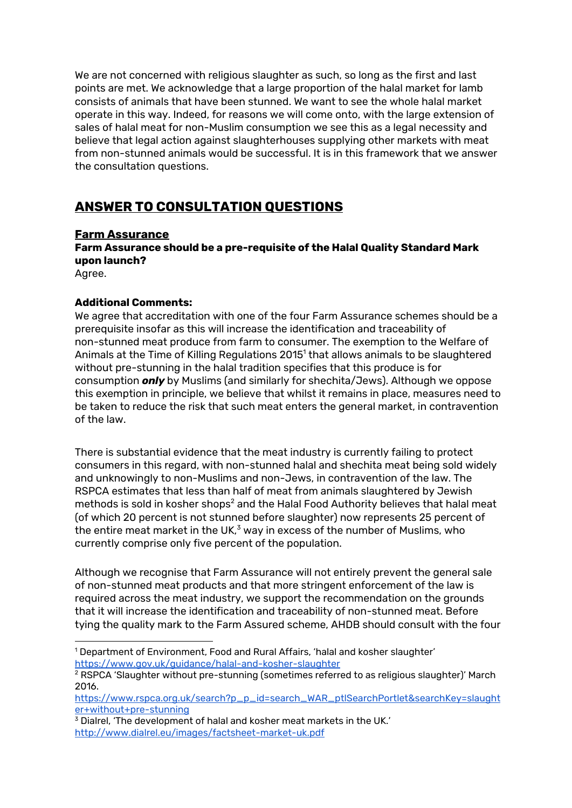We are not concerned with religious slaughter as such, so long as the first and last points are met. We acknowledge that a large proportion of the halal market for lamb consists of animals that have been stunned. We want to see the whole halal market operate in this way. Indeed, for reasons we will come onto, with the large extension of sales of halal meat for non-Muslim consumption we see this as a legal necessity and believe that legal action against slaughterhouses supplying other markets with meat from non-stunned animals would be successful. It is in this framework that we answer the consultation questions.

# **ANSWER TO CONSULTATION QUESTIONS**

## **Farm Assurance**

**Farm Assurance should be a pre-requisite of the Halal Quality Standard Mark upon launch?**

Agree.

## **Additional Comments:**

We agree that accreditation with one of the four Farm Assurance schemes should be a prerequisite insofar as this will increase the identification and traceability of non-stunned meat produce from farm to consumer. The exemption to the Welfare of Animals at the Time of Killing Regulations 2015 $^{\rm 1}$  that allows animals to be slaughtered without pre-stunning in the halal tradition specifies that this produce is for consumption *only* by Muslims (and similarly for shechita/Jews). Although we oppose this exemption in principle, we believe that whilst it remains in place, measures need to be taken to reduce the risk that such meat enters the general market, in contravention of the law.

There is substantial evidence that the meat industry is currently failing to protect consumers in this regard, with non-stunned halal and shechita meat being sold widely and unknowingly to non-Muslims and non-Jews, in contravention of the law. The RSPCA estimates that less than half of meat from animals slaughtered by Jewish methods is sold in kosher shops $^2$  and the Halal Food Authority believes that halal meat (of which 20 percent is not stunned before slaughter) now represents 25 percent of the entire meat market in the UK, $^{\text{3}}$  way in excess of the number of Muslims, who currently comprise only five percent of the population.

Although we recognise that Farm Assurance will not entirely prevent the general sale of non-stunned meat products and that more stringent enforcement of the law is required across the meat industry, we support the recommendation on the grounds that it will increase the identification and traceability of non-stunned meat. Before tying the quality mark to the Farm Assured scheme, AHDB should consult with the four

<sup>1</sup> Department of Environment, Food and Rural Affairs, 'halal and kosher slaughter' <https://www.gov.uk/guidance/halal-and-kosher-slaughter>

<sup>&</sup>lt;sup>2</sup> RSPCA 'Slaughter without pre-stunning (sometimes referred to as religious slaughter)' March 2016.

[https://www.rspca.org.uk/search?p\\_p\\_id=search\\_WAR\\_ptlSearchPortlet&searchKey=slaught](https://www.rspca.org.uk/search?p_p_id=search_WAR_ptlSearchPortlet&searchKey=slaughter+without+pre-stunning) [er+without+pre-stunning](https://www.rspca.org.uk/search?p_p_id=search_WAR_ptlSearchPortlet&searchKey=slaughter+without+pre-stunning)

<sup>&</sup>lt;sup>3</sup> Dialrel, 'The development of halal and kosher meat markets in the UK.' <http://www.dialrel.eu/images/factsheet-market-uk.pdf>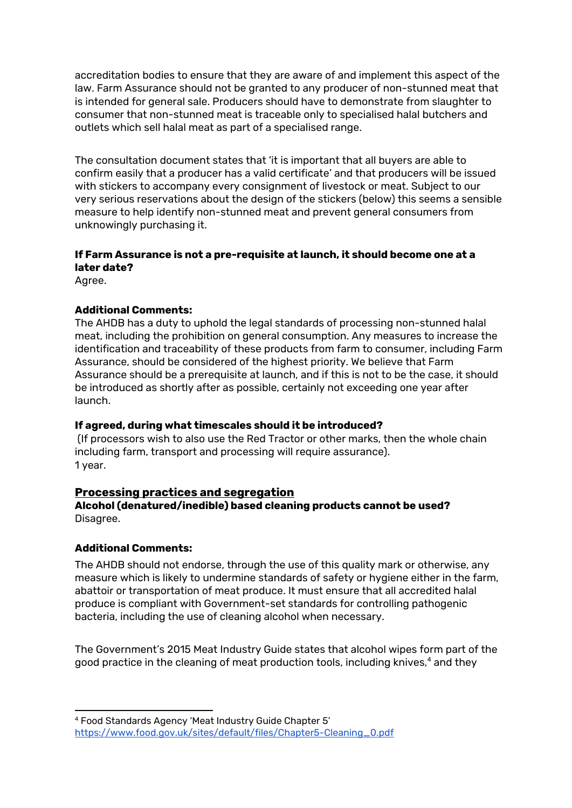accreditation bodies to ensure that they are aware of and implement this aspect of the law. Farm Assurance should not be granted to any producer of non-stunned meat that is intended for general sale. Producers should have to demonstrate from slaughter to consumer that non-stunned meat is traceable only to specialised halal butchers and outlets which sell halal meat as part of a specialised range.

The consultation document states that 'it is important that all buyers are able to confirm easily that a producer has a valid certificate' and that producers will be issued with stickers to accompany every consignment of livestock or meat. Subject to our very serious reservations about the design of the stickers (below) this seems a sensible measure to help identify non-stunned meat and prevent general consumers from unknowingly purchasing it.

## **If Farm Assurance is not a pre-requisite at launch, it should become one at a later date?**

Agree.

## **Additional Comments:**

The AHDB has a duty to uphold the legal standards of processing non-stunned halal meat, including the prohibition on general consumption. Any measures to increase the identification and traceability of these products from farm to consumer, including Farm Assurance, should be considered of the highest priority. We believe that Farm Assurance should be a prerequisite at launch, and if this is not to be the case, it should be introduced as shortly after as possible, certainly not exceeding one year after launch.

## **If agreed, during what timescales should it be introduced?**

(If processors wish to also use the Red Tractor or other marks, then the whole chain including farm, transport and processing will require assurance). 1 year.

## **Processing practices and segregation**

**Alcohol (denatured/inedible) based cleaning products cannot be used?** Disagree.

## **Additional Comments:**

The AHDB should not endorse, through the use of this quality mark or otherwise, any measure which is likely to undermine standards of safety or hygiene either in the farm, abattoir or transportation of meat produce. It must ensure that all accredited halal produce is compliant with Government-set standards for controlling pathogenic bacteria, including the use of cleaning alcohol when necessary.

The Government's 2015 Meat Industry Guide states that alcohol wipes form part of the good practice in the cleaning of meat production tools, including knives, $\rm ^4$  and they

<sup>4</sup> Food Standards Agency 'Meat Industry Guide Chapter 5' [https://www.food.gov.uk/sites/default/files/Chapter5-Cleaning\\_0.pdf](https://www.food.gov.uk/sites/default/files/Chapter5-Cleaning_0.pdf)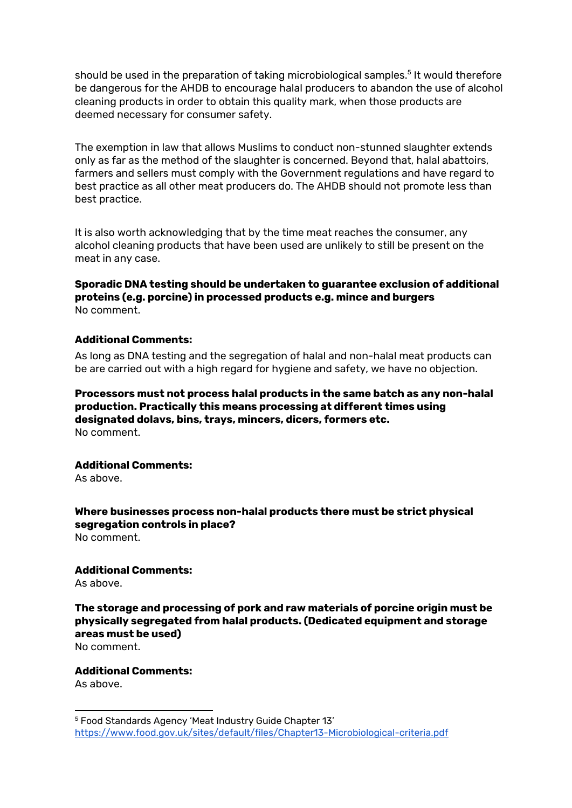should be used in the preparation of taking microbiological samples. $^{\rm 5}$  It would therefore be dangerous for the AHDB to encourage halal producers to abandon the use of alcohol cleaning products in order to obtain this quality mark, when those products are deemed necessary for consumer safety.

The exemption in law that allows Muslims to conduct non-stunned slaughter extends only as far as the method of the slaughter is concerned. Beyond that, halal abattoirs, farmers and sellers must comply with the Government regulations and have regard to best practice as all other meat producers do. The AHDB should not promote less than best practice.

It is also worth acknowledging that by the time meat reaches the consumer, any alcohol cleaning products that have been used are unlikely to still be present on the meat in any case.

**Sporadic DNA testing should be undertaken to guarantee exclusion of additional proteins (e.g. porcine) in processed products e.g. mince and burgers** No comment.

#### **Additional Comments:**

As long as DNA testing and the segregation of halal and non-halal meat products can be are carried out with a high regard for hygiene and safety, we have no objection.

**Processors must not process halal products in the same batch as any non-halal production. Practically this means processing at different times using designated dolavs, bins, trays, mincers, dicers, formers etc.** No comment.

#### **Additional Comments:**

As above.

**Where businesses process non-halal products there must be strict physical segregation controls in place?** No comment.

#### **Additional Comments:**

As above.

**The storage and processing of pork and raw materials of porcine origin must be physically segregated from halal products. (Dedicated equipment and storage areas must be used)**

No comment.

#### **Additional Comments:**

As above.

<sup>5</sup> Food Standards Agency 'Meat Industry Guide Chapter 13' <https://www.food.gov.uk/sites/default/files/Chapter13-Microbiological-criteria.pdf>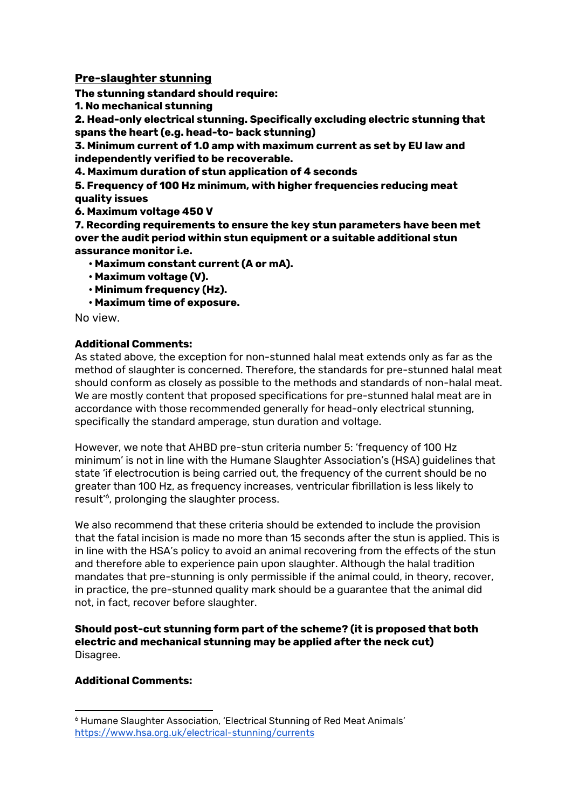## **Pre-slaughter stunning**

**The stunning standard should require:**

**1. No mechanical stunning**

**2. Head-only electrical stunning. Specifically excluding electric stunning that spans the heart (e.g. head-to- back stunning)**

**3. Minimum current of 1.0 amp with maximum current as set by EU law and independently verified to be recoverable.**

**4. Maximum duration of stun application of 4 seconds**

**5. Frequency of 100 Hz minimum, with higher frequencies reducing meat quality issues**

**6. Maximum voltage 450 V**

**7. Recording requirements to ensure the key stun parameters have been met over the audit period within stun equipment or a suitable additional stun assurance monitor i.e.**

- **• Maximum constant current (A or mA).**
- **• Maximum voltage (V).**
- **• Minimum frequency (Hz).**
- **• Maximum time of exposure.**

No view.

## **Additional Comments:**

As stated above, the exception for non-stunned halal meat extends only as far as the method of slaughter is concerned. Therefore, the standards for pre-stunned halal meat should conform as closely as possible to the methods and standards of non-halal meat. We are mostly content that proposed specifications for pre-stunned halal meat are in accordance with those recommended generally for head-only electrical stunning, specifically the standard amperage, stun duration and voltage.

However, we note that AHBD pre-stun criteria number 5: 'frequency of 100 Hz minimum' is not in line with the Humane Slaughter Association's (HSA) guidelines that state 'if electrocution is being carried out, the frequency of the current should be no greater than 100 Hz, as frequency increases, ventricular fibrillation is less likely to result<sup>'6</sup>, prolonging the slaughter process.

We also recommend that these criteria should be extended to include the provision that the fatal incision is made no more than 15 seconds after the stun is applied. This is in line with the HSA's policy to avoid an animal recovering from the effects of the stun and therefore able to experience pain upon slaughter. Although the halal tradition mandates that pre-stunning is only permissible if the animal could, in theory, recover, in practice, the pre-stunned quality mark should be a guarantee that the animal did not, in fact, recover before slaughter.

**Should post-cut stunning form part of the scheme? (it is proposed that both electric and mechanical stunning may be applied after the neck cut)** Disagree.

## **Additional Comments:**

<sup>6</sup> Humane Slaughter Association, 'Electrical Stunning of Red Meat Animals' <https://www.hsa.org.uk/electrical-stunning/currents>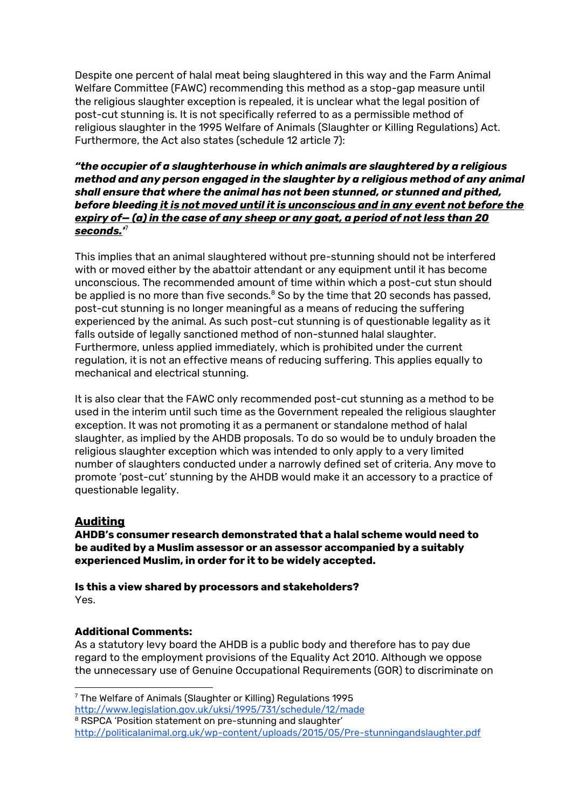Despite one percent of halal meat being slaughtered in this way and the Farm Animal Welfare Committee (FAWC) recommending this method as a stop-gap measure until the religious slaughter exception is repealed, it is unclear what the legal position of post-cut stunning is. It is not specifically referred to as a permissible method of religious slaughter in the 1995 Welfare of Animals (Slaughter or Killing Regulations) Act. Furthermore, the Act also states (schedule 12 article 7):

## *"the occupier of a slaughterhouse in which animals are slaughtered by a religious method and any person engaged in the slaughter by a religious method of any animal shall ensure that where the animal has not been stunned, or stunned and pithed, before bleeding it is not moved until it is unconscious and in any event not before the expiry of— (a) in the case of any sheep or any goat, a period of not less than 20 seconds.'* 7

This implies that an animal slaughtered without pre-stunning should not be interfered with or moved either by the abattoir attendant or any equipment until it has become unconscious. The recommended amount of time within which a post-cut stun should be applied is no more than five seconds. $^8$  So by the time that 20 seconds has passed, post-cut stunning is no longer meaningful as a means of reducing the suffering experienced by the animal. As such post-cut stunning is of questionable legality as it falls outside of legally sanctioned method of non-stunned halal slaughter. Furthermore, unless applied immediately, which is prohibited under the current regulation, it is not an effective means of reducing suffering. This applies equally to mechanical and electrical stunning.

It is also clear that the FAWC only recommended post-cut stunning as a method to be used in the interim until such time as the Government repealed the religious slaughter exception. It was not promoting it as a permanent or standalone method of halal slaughter, as implied by the AHDB proposals. To do so would be to unduly broaden the religious slaughter exception which was intended to only apply to a very limited number of slaughters conducted under a narrowly defined set of criteria. Any move to promote 'post-cut' stunning by the AHDB would make it an accessory to a practice of questionable legality.

## **Auditing**

**AHDB's consumer research demonstrated that a halal scheme would need to be audited by a Muslim assessor or an assessor accompanied by a suitably experienced Muslim, in order for it to be widely accepted.**

**Is this a view shared by processors and stakeholders?** Yes.

## **Additional Comments:**

As a statutory levy board the AHDB is a public body and therefore has to pay due regard to the employment provisions of the Equality Act 2010. Although we oppose the unnecessary use of Genuine Occupational Requirements (GOR) to discriminate on

<sup>7</sup> The Welfare of Animals (Slaughter or Killing) Regulations 1995 <http://www.legislation.gov.uk/uksi/1995/731/schedule/12/made>

<sup>&</sup>lt;sup>8</sup> RSPCA 'Position statement on pre-stunning and slaughter'

<http://politicalanimal.org.uk/wp-content/uploads/2015/05/Pre-stunningandslaughter.pdf>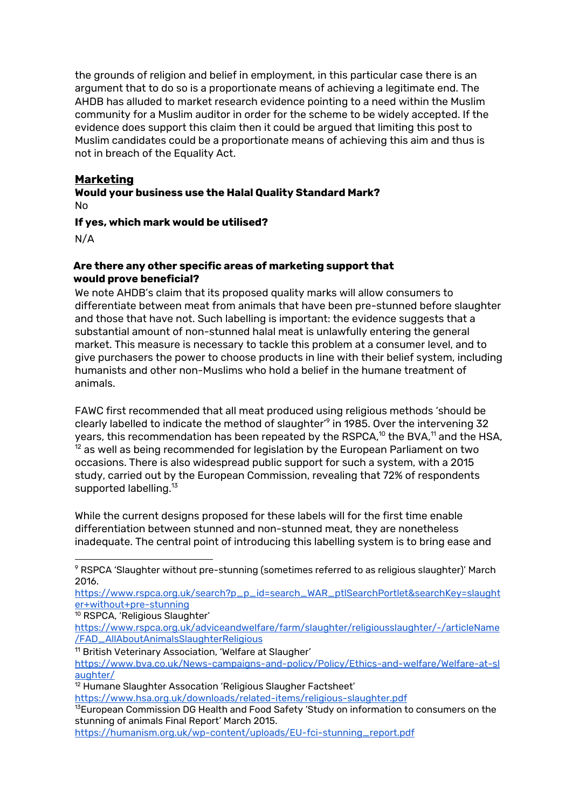the grounds of religion and belief in employment, in this particular case there is an argument that to do so is a proportionate means of achieving a legitimate end. The AHDB has alluded to market research evidence pointing to a need within the Muslim community for a Muslim auditor in order for the scheme to be widely accepted. If the evidence does support this claim then it could be argued that limiting this post to Muslim candidates could be a proportionate means of achieving this aim and thus is not in breach of the Equality Act.

## **Marketing**

**Would your business use the Halal Quality Standard Mark?** No

**If yes, which mark would be utilised?**

N/A

## **Are there any other specific areas of marketing support that would prove beneficial?**

We note AHDB's claim that its proposed quality marks will allow consumers to differentiate between meat from animals that have been pre-stunned before slaughter and those that have not. Such labelling is important: the evidence suggests that a substantial amount of non-stunned halal meat is unlawfully entering the general market. This measure is necessary to tackle this problem at a consumer level, and to give purchasers the power to choose products in line with their belief system, including humanists and other non-Muslims who hold a belief in the humane treatment of animals.

FAWC first recommended that all meat produced using religious methods 'should be clearly labelled to indicate the method of slaughter' $^{\circ}$  in 1985. Over the intervening 32 years, this recommendation has been repeated by the RSPCA, $^{\rm 10}$  the BVA, $^{\rm 11}$  and the HSA,  $^{\rm 12}$  as well as being recommended for legislation by the European Parliament on two occasions. There is also widespread public support for such a system, with a 2015 study, carried out by the European Commission, revealing that 72% of respondents supported labelling.<sup>13</sup>

While the current designs proposed for these labels will for the first time enable differentiation between stunned and non-stunned meat, they are nonetheless inadequate. The central point of introducing this labelling system is to bring ease and

[https://www.rspca.org.uk/search?p\\_p\\_id=search\\_WAR\\_ptlSearchPortlet&searchKey=slaught](https://www.rspca.org.uk/search?p_p_id=search_WAR_ptlSearchPortlet&searchKey=slaughter+without+pre-stunning) [er+without+pre-stunning](https://www.rspca.org.uk/search?p_p_id=search_WAR_ptlSearchPortlet&searchKey=slaughter+without+pre-stunning)

- <sup>10</sup> RSPCA, 'Religious Slaughter'
- [https://www.rspca.org.uk/adviceandwelfare/farm/slaughter/religiousslaughter/-/articleName](https://www.rspca.org.uk/adviceandwelfare/farm/slaughter/religiousslaughter/-/articleName/FAD_AllAboutAnimalsSlaughterReligious) [/FAD\\_AllAboutAnimalsSlaughterReligious](https://www.rspca.org.uk/adviceandwelfare/farm/slaughter/religiousslaughter/-/articleName/FAD_AllAboutAnimalsSlaughterReligious)

<sup>11</sup> British Veterinary Association, 'Welfare at Slaugher' [https://www.bva.co.uk/News-campaigns-and-policy/Policy/Ethics-and-welfare/Welfare-at-sl](https://www.bva.co.uk/News-campaigns-and-policy/Policy/Ethics-and-welfare/Welfare-at-slaughter/) [aughter/](https://www.bva.co.uk/News-campaigns-and-policy/Policy/Ethics-and-welfare/Welfare-at-slaughter/)

<https://www.hsa.org.uk/downloads/related-items/religious-slaughter.pdf>

[https://humanism.org.uk/wp-content/uploads/EU-fci-stunning\\_report.pdf](https://humanism.org.uk/wp-content/uploads/EU-fci-stunning_report.pdf)

<sup>&</sup>lt;sup>9</sup> RSPCA 'Slaughter without pre-stunning (sometimes referred to as religious slaughter)' March 2016.

<sup>&</sup>lt;sup>12</sup> Humane Slaughter Assocation 'Religious Slaugher Factsheet'

<sup>&</sup>lt;sup>13</sup>European Commission DG Health and Food Safety 'Study on information to consumers on the stunning of animals Final Report' March 2015.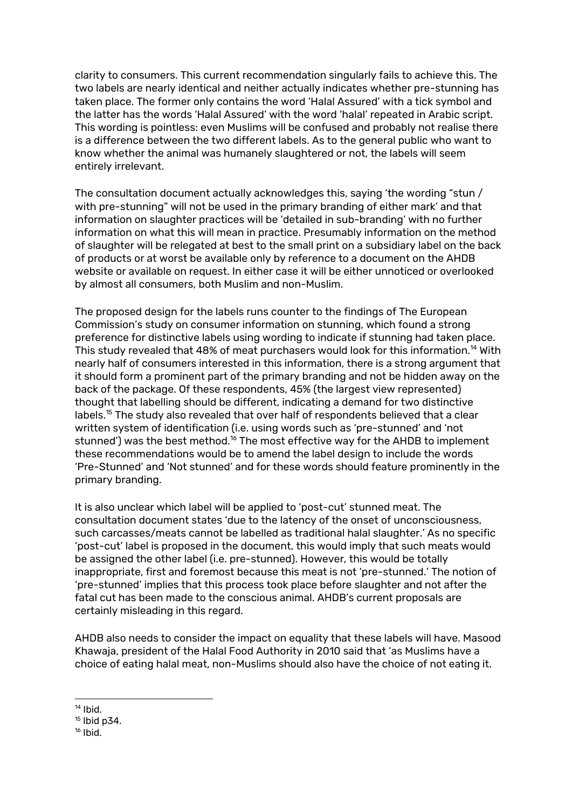clarity to consumers. This current recommendation singularly fails to achieve this. The two labels are nearly identical and neither actually indicates whether pre-stunning has taken place. The former only contains the word 'Halal Assured' with a tick symbol and the latter has the words 'Halal Assured' with the word 'halal' repeated in Arabic script. This wording is pointless: even Muslims will be confused and probably not realise there is a difference between the two different labels. As to the general public who want to know whether the animal was humanely slaughtered or not, the labels will seem entirely irrelevant.

The consultation document actually acknowledges this, saying 'the wording "stun / with pre-stunning" will not be used in the primary branding of either mark' and that information on slaughter practices will be 'detailed in sub-branding' with no further information on what this will mean in practice. Presumably information on the method of slaughter will be relegated at best to the small print on a subsidiary label on the back of products or at worst be available only by reference to a document on the AHDB website or available on request. In either case it will be either unnoticed or overlooked by almost all consumers, both Muslim and non-Muslim.

The proposed design for the labels runs counter to the findings of The European Commission's study on consumer information on stunning, which found a strong preference for distinctive labels using wording to indicate if stunning had taken place. This study revealed that 48% of meat purchasers would look for this information. $^{\mathsf{14}}$  With nearly half of consumers interested in this information, there is a strong argument that it should form a prominent part of the primary branding and not be hidden away on the back of the package. Of these respondents, 45% (the largest view represented) thought that labelling should be different, indicating a demand for two distinctive labels. $^\mathrm{15}$  The study also revealed that over half of respondents believed that a clear written system of identification (i.e. using words such as 'pre-stunned' and 'not stunned') was the best method. $^{16}$  The most effective way for the AHDB to implement these recommendations would be to amend the label design to include the words 'Pre-Stunned' and 'Not stunned' and for these words should feature prominently in the primary branding.

It is also unclear which label will be applied to 'post-cut' stunned meat. The consultation document states 'due to the latency of the onset of unconsciousness, such carcasses/meats cannot be labelled as traditional halal slaughter.' As no specific 'post-cut' label is proposed in the document, this would imply that such meats would be assigned the other label (i.e. pre-stunned). However, this would be totally inappropriate, first and foremost because this meat is not 'pre-stunned.' The notion of 'pre-stunned' implies that this process took place before slaughter and not after the fatal cut has been made to the conscious animal. AHDB's current proposals are certainly misleading in this regard.

AHDB also needs to consider the impact on equality that these labels will have. Masood Khawaja, president of the Halal Food Authority in 2010 said that 'as Muslims have a choice of eating halal meat, non-Muslims should also have the choice of not eating it.

<sup>&</sup>lt;sup>14</sup> Ibid.

<sup>&</sup>lt;sup>15</sup> Ibid p34.

<sup>&</sup>lt;sup>16</sup> Ibid.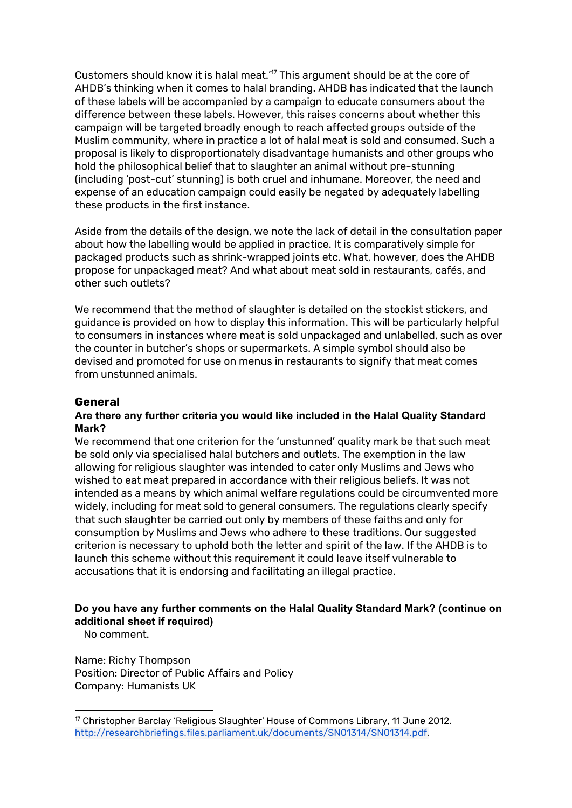Customers should know it is halal meat.' $\frac{1}{7}$  This argument should be at the core of AHDB's thinking when it comes to halal branding. AHDB has indicated that the launch of these labels will be accompanied by a campaign to educate consumers about the difference between these labels. However, this raises concerns about whether this campaign will be targeted broadly enough to reach affected groups outside of the Muslim community, where in practice a lot of halal meat is sold and consumed. Such a proposal is likely to disproportionately disadvantage humanists and other groups who hold the philosophical belief that to slaughter an animal without pre-stunning (including 'post-cut' stunning) is both cruel and inhumane. Moreover, the need and expense of an education campaign could easily be negated by adequately labelling these products in the first instance.

Aside from the details of the design, we note the lack of detail in the consultation paper about how the labelling would be applied in practice. It is comparatively simple for packaged products such as shrink-wrapped joints etc. What, however, does the AHDB propose for unpackaged meat? And what about meat sold in restaurants, cafés, and other such outlets?

We recommend that the method of slaughter is detailed on the stockist stickers, and guidance is provided on how to display this information. This will be particularly helpful to consumers in instances where meat is sold unpackaged and unlabelled, such as over the counter in butcher's shops or supermarkets. A simple symbol should also be devised and promoted for use on menus in restaurants to signify that meat comes from unstunned animals.

## **General**

#### **Are there any further criteria you would like included in the Halal Quality Standard Mark?**

We recommend that one criterion for the 'unstunned' quality mark be that such meat be sold only via specialised halal butchers and outlets. The exemption in the law allowing for religious slaughter was intended to cater only Muslims and Jews who wished to eat meat prepared in accordance with their religious beliefs. It was not intended as a means by which animal welfare regulations could be circumvented more widely, including for meat sold to general consumers. The regulations clearly specify that such slaughter be carried out only by members of these faiths and only for consumption by Muslims and Jews who adhere to these traditions. Our suggested criterion is necessary to uphold both the letter and spirit of the law. If the AHDB is to launch this scheme without this requirement it could leave itself vulnerable to accusations that it is endorsing and facilitating an illegal practice.

## **Do you have any further comments on the Halal Quality Standard Mark? (continue on additional sheet if required)**

No comment.

Name: Richy Thompson Position: Director of Public Affairs and Policy Company: Humanists UK

 $17$  Christopher Barclay 'Religious Slaughter' House of Commons Library, 11 June 2012. [http://researchbriefings.files.parliament.uk/documents/SN01314/SN01314.pdf.](http://researchbriefings.files.parliament.uk/documents/SN01314/SN01314.pdf)